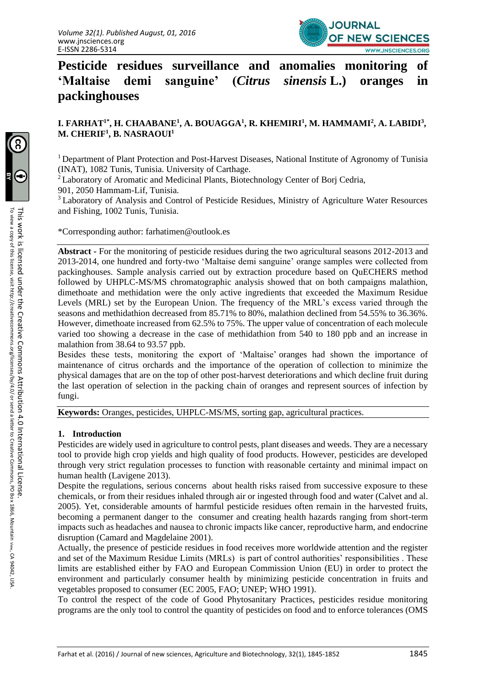

**Pesticide residues surveillance and anomalies monitoring of 'Maltaise demi sanguine' (***Citrus sinensis* **[L.\)](https://fr.wikipedia.org/wiki/Carl_von_Linn%C3%A9) oranges in packinghouses**

# **I. FARHAT1\*, H. CHAABANE<sup>1</sup> , A. BOUAGGA<sup>1</sup> , R. KHEMIRI<sup>1</sup> , M. HAMMAMI<sup>2</sup> , A. LABIDI<sup>3</sup> ,**  $M$ , CHERIF<sup>1</sup>, B. NASRAOUI<sup>1</sup>

<sup>1</sup> Department of Plant Protection and Post-Harvest Diseases, National Institute of Agronomy of Tunisia (INAT), 1082 Tunis, Tunisia. University of Carthage.

<sup>2</sup>Laboratory of Aromatic and Medicinal Plants, Biotechnology Center of Borj Cedria,

901, 2050 Hammam-Lif, Tunisia.

<sup>3</sup> Laboratory of Analysis and Control of Pesticide Residues, Ministry of Agriculture Water Resources and Fishing, 1002 Tunis, Tunisia.

\*Corresponding author: farhatime[n@outlook.es](mailto:rosainess@yahoo.fr)

**Abstract -** For the monitoring of pesticide residues during the two agricultural seasons 2012-2013 and 2013-2014, one hundred and forty-two 'Maltaise demi sanguine' orange samples were collected from packinghouses. Sample analysis carried out by extraction procedure based on QuECHERS method followed by UHPLC-MS/MS chromatographic analysis showed that on both campaigns malathion, dimethoate and methidation were the only active ingredients that exceeded the Maximum Residue Levels (MRL) set by the European Union. The frequency of the MRL's excess varied through the seasons and methidathion decreased from 85.71% to 80%, malathion declined from 54.55% to 36.36%. However, dimethoate increased from 62.5% to 75%. The upper value of concentration of each molecule varied too showing a decrease in the case of methidathion from 540 to 180 ppb and an increase in malathion from 38.64 to 93.57 ppb.

Besides these tests, monitoring the export of 'Maltaise' oranges had shown the importance of maintenance of citrus orchards and the importance of the operation of collection to minimize the physical damages that are on the top of other post-harvest deteriorations and which decline fruit during the last operation of selection in the packing chain of oranges and represent sources of infection by fungi.

**Keywords:** Oranges, pesticides, UHPLC-MS/MS, sorting gap, agricultural practices.

## **1. Introduction**

Pesticides are widely used in agriculture to control pests, plant diseases and weeds. They are a necessary tool to provide high crop yields and high quality of food products. However, pesticides are developed through very strict regulation processes to function with reasonable certainty and minimal impact on human health (Lavigene 2013).

Despite the regulations, serious concerns about health risks raised from successive exposure to these chemicals, or from their residues inhaled through air or ingested through food and water (Calvet and al. 2005). Yet, considerable amounts of harmful pesticide residues often remain in the harvested fruits, becoming a permanent danger to the consumer and creating health hazards ranging from short-term impacts such as headaches and nausea to chronic impacts like cancer, reproductive harm, and endocrine disruption (Camard and Magdelaine 2001).

Actually, the presence of pesticide residues in food receives more worldwide attention and the register and set of the Maximum Residue Limits (MRLs) is part of control authorities' responsibilities . These limits are established either by FAO and European Commission Union (EU) in order to protect the environment and particularly consumer health by minimizing pesticide concentration in fruits and vegetables proposed to consumer (EC 2005, FAO; UNEP; WHO 1991).

To control the respect of the code of Good Phytosanitary Practices, pesticides residue monitoring programs are the only tool to control the quantity of pesticides on food and to enforce tolerances (OMS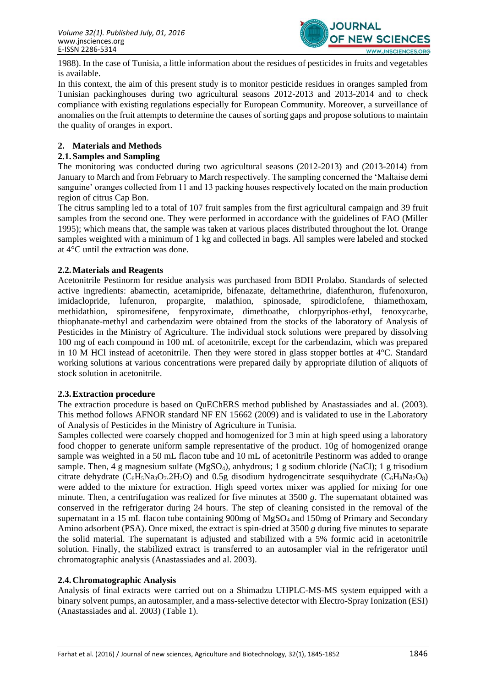

1988). In the case of Tunisia, a little information about the residues of pesticides in fruits and vegetables is available.

In this context, the aim of this present study is to monitor pesticide residues in oranges sampled from Tunisian packinghouses during two agricultural seasons 2012-2013 and 2013-2014 and to check compliance with existing regulations especially for European Community. Moreover, a surveillance of anomalies on the fruit attempts to determine the causes of sorting gaps and propose solutions to maintain the quality of oranges in export.

# **2. Materials and Methods**

# **2.1.Samples and Sampling**

The monitoring was conducted during two agricultural seasons (2012-2013) and (2013-2014) from January to March and from February to March respectively. The sampling concerned the 'Maltaise demi sanguine' oranges collected from 11 and 13 packing houses respectively located on the main production region of citrus Cap Bon.

The citrus sampling led to a total of 107 fruit samples from the first agricultural campaign and 39 fruit samples from the second one. They were performed in accordance with the guidelines of FAO (Miller 1995); which means that, the sample was taken at various places distributed throughout the lot. Orange samples weighted with a minimum of 1 kg and collected in bags. All samples were labeled and stocked at 4°C until the extraction was done.

## **2.2.Materials and Reagents**

Acetonitrile Pestinorm for residue analysis was purchased from BDH Prolabo. Standards of selected active ingredients: abamectin, acetamipride, bifenazate, deltamethrine, diafenthuron, flufenoxuron, imidaclopride, lufenuron, propargite, malathion, spinosade, spirodiclofene, thiamethoxam, methidathion, spiromesifene, fenpyroximate, dimethoathe, chlorpyriphos-ethyl, fenoxycarbe, thiophanate-methyl and carbendazim were obtained from the stocks of the laboratory of Analysis of Pesticides in the Ministry of Agriculture. The individual stock solutions were prepared by dissolving 100 mg of each compound in 100 mL of acetonitrile, except for the carbendazim, which was prepared in 10 M HCl instead of acetonitrile. Then they were stored in glass stopper bottles at 4°C. Standard working solutions at various concentrations were prepared daily by appropriate dilution of aliquots of stock solution in acetonitrile.

### **2.3.Extraction procedure**

The extraction procedure is based on QuEChERS method published by Anastassiades and al. (2003). This method follows AFNOR standard NF EN 15662 (2009) and is validated to use in the Laboratory of Analysis of Pesticides in the Ministry of Agriculture in Tunisia.

Samples collected were coarsely chopped and homogenized for 3 min at high speed using a laboratory food chopper to generate uniform sample representative of the product. 10g of homogenized orange sample was weighted in a 50 mL flacon tube and 10 mL of acetonitrile Pestinorm was added to orange sample. Then, 4 g magnesium sulfate (MgSO4), anhydrous; 1 g sodium chloride (NaCl); 1 g trisodium citrate dehydrate  $(C_6H_5Na_3O_7.2H_2O)$  and 0.5g disodium hydrogencitrate sesquihydrate  $(C_6H_8Na_2O_8)$ were added to the mixture for extraction. High speed vortex mixer was applied for mixing for one minute. Then, a centrifugation was realized for five minutes at 3500 *g*. The supernatant obtained was conserved in the refrigerator during 24 hours. The step of cleaning consisted in the removal of the supernatant in a 15 mL flacon tube containing  $900mg$  of MgSO<sub>4</sub> and 150mg of Primary and Secondary Amino adsorbent (PSA). Once mixed, the extract is spin-dried at 3500 *g* during five minutes to separate the solid material. The supernatant is adjusted and stabilized with a 5% formic acid in acetonitrile solution. Finally, the stabilized extract is transferred to an autosampler vial in the refrigerator until chromatographic analysis (Anastassiades and al. 2003).

## **2.4.Chromatographic Analysis**

Analysis of final extracts were carried out on a Shimadzu UHPLC-MS-MS system equipped with a binary solvent pumps, an autosampler, and a mass-selective detector with Electro-Spray Ionization (ESI) (Anastassiades and al. 2003) (Table 1).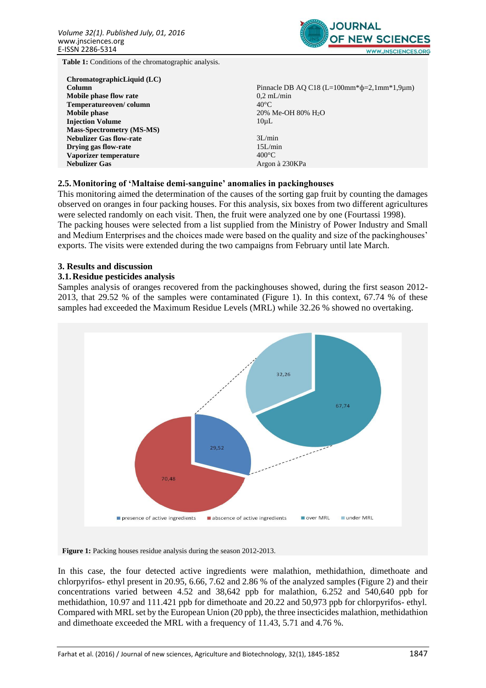

**Table 1:** Conditions of the chromatographic analysis.

| ChromatographicLiquid (LC)       |                                                   |
|----------------------------------|---------------------------------------------------|
| Column                           | Pinnacle DB AQ C18 (L=100mm* $\phi$ =2,1mm*1,9um) |
| Mobile phase flow rate           | $0.2$ mL/min                                      |
| Temperatureoven/column           | $40^{\circ}$ C                                    |
| Mobile phase                     | 20% Me-OH 80% H <sub>2</sub> O                    |
| <b>Injection Volume</b>          | $10 \mu L$                                        |
| <b>Mass-Spectrometry (MS-MS)</b> |                                                   |
| <b>Nebulizer Gas flow-rate</b>   | 3L/min                                            |
| Drying gas flow-rate             | 15L/min                                           |
| Vaporizer temperature            | $400^{\circ}$ C                                   |
| <b>Nebulizer Gas</b>             | Argon à 230KPa                                    |

### **2.5.Monitoring of 'Maltaise demi-sanguine' anomalies in packinghouses**

This monitoring aimed the determination of the causes of the sorting gap fruit by counting the damages observed on oranges in four packing houses. For this analysis, six boxes from two different agricultures were selected randomly on each visit. Then, the fruit were analyzed one by one (Fourtassi 1998). The packing houses were selected from a list supplied from the Ministry of Power Industry and Small and Medium Enterprises and the choices made were based on the quality and size of the packinghouses' exports. The visits were extended during the two campaigns from February until late March.

#### **3. Results and discussion**

### **3.1.Residue pesticides analysis**

Samples analysis of oranges recovered from the packinghouses showed, during the first season 2012- 2013, that 29.52 % of the samples were contaminated (Figure 1). In this context, 67.74 % of these samples had exceeded the Maximum Residue Levels (MRL) while 32.26 % showed no overtaking.



**Figure 1:** Packing houses residue analysis during the season 2012-2013.

In this case, the four detected active ingredients were malathion, methidathion, dimethoate and chlorpyrifos- ethyl present in 20.95, 6.66, 7.62 and 2.86 % of the analyzed samples (Figure 2) and their concentrations varied between 4.52 and 38,642 ppb for malathion, 6.252 and 540,640 ppb for methidathion, 10.97 and 111.421 ppb for dimethoate and 20.22 and 50,973 ppb for chlorpyrifos- ethyl. Compared with MRL set by the European Union (20 ppb), the three insecticides malathion, methidathion and dimethoate exceeded the MRL with a frequency of 11.43, 5.71 and 4.76 %.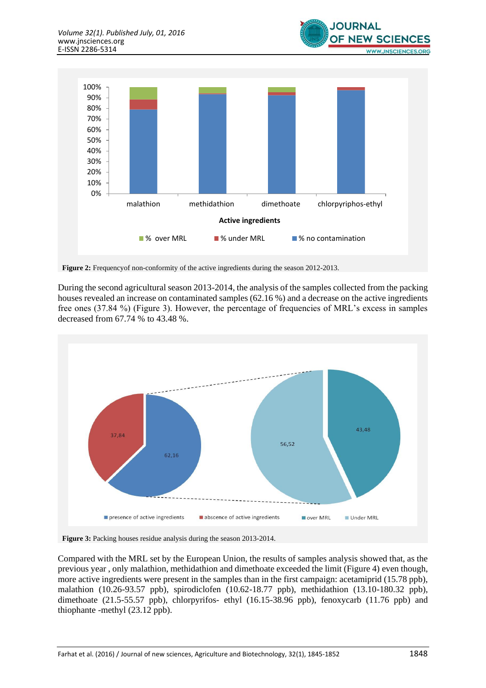



**Figure 2:** Frequencyof non-conformity of the active ingredients during the season 2012-2013.

During the second agricultural season 2013-2014, the analysis of the samples collected from the packing houses revealed an increase on contaminated samples (62.16 %) and a decrease on the active ingredients free ones (37.84 %) (Figure 3). However, the percentage of frequencies of MRL's excess in samples decreased from 67.74 % to 43.48 %.



**Figure 3:** Packing houses residue analysis during the season 2013-2014.

Compared with the MRL set by the European Union, the results of samples analysis showed that, as the previous year , only malathion, methidathion and dimethoate exceeded the limit (Figure 4) even though, more active ingredients were present in the samples than in the first campaign: acetamiprid (15.78 ppb), malathion (10.26-93.57 ppb), spirodiclofen (10.62-18.77 ppb), methidathion (13.10-180.32 ppb), dimethoate (21.5-55.57 ppb), chlorpyrifos- ethyl (16.15-38.96 ppb), fenoxycarb (11.76 ppb) and thiophante -methyl (23.12 ppb).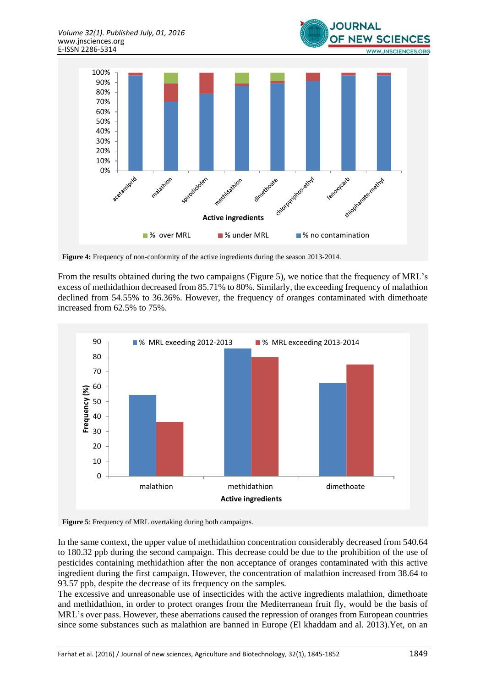

**Figure 4:** Frequency of non-conformity of the active ingredients during the season 2013-2014.

From the results obtained during the two campaigns (Figure 5), we notice that the frequency of MRL's excess of methidathion decreased from 85.71% to 80%. Similarly, the exceeding frequency of malathion declined from 54.55% to 36.36%. However, the frequency of oranges contaminated with dimethoate increased from 62.5% to 75%.



**Figure 5**: Frequency of MRL overtaking during both campaigns.

In the same context, the upper value of methidathion concentration considerably decreased from 540.64 to 180.32 ppb during the second campaign. This decrease could be due to the prohibition of the use of pesticides containing methidathion after the non acceptance of oranges contaminated with this active ingredient during the first campaign. However, the concentration of malathion increased from 38.64 to 93.57 ppb, despite the decrease of its frequency on the samples.

The excessive and unreasonable use of insecticides with the active ingredients malathion, dimethoate and methidathion, in order to protect oranges from the Mediterranean fruit fly, would be the basis of MRL's over pass. However, these aberrations caused the repression of oranges from European countries since some substances such as malathion are banned in Europe (El khaddam and al. 2013).Yet, on an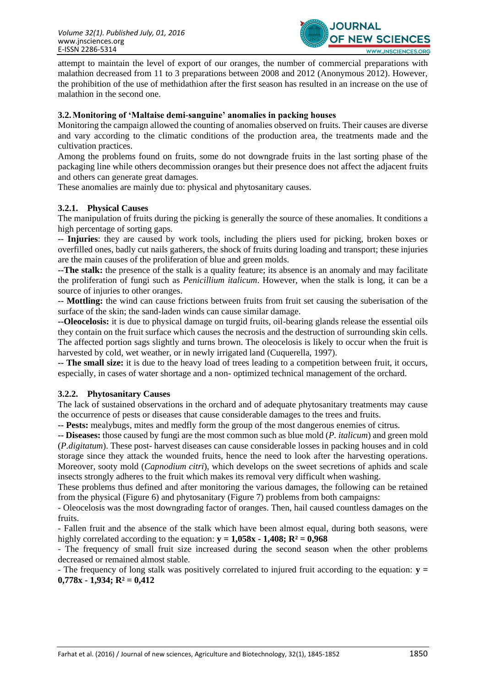

attempt to maintain the level of export of our oranges, the number of commercial preparations with malathion decreased from 11 to 3 preparations between 2008 and 2012 (Anonymous 2012). However, the prohibition of the use of methidathion after the first season has resulted in an increase on the use of malathion in the second one.

## **3.2.Monitoring of 'Maltaise demi-sanguine' anomalies in packing houses**

Monitoring the campaign allowed the counting of anomalies observed on fruits. Their causes are diverse and vary according to the climatic conditions of the production area, the treatments made and the cultivation practices.

Among the problems found on fruits, some do not downgrade fruits in the last sorting phase of the packaging line while others decommission oranges but their presence does not affect the adjacent fruits and others can generate great damages.

These anomalies are mainly due to: physical and phytosanitary causes.

## **3.2.1. Physical Causes**

The manipulation of fruits during the picking is generally the source of these anomalies. It conditions a high percentage of sorting gaps.

**-- Injuries**: they are caused by work tools, including the pliers used for picking, broken boxes or overfilled ones, badly cut nails gatherers, the shock of fruits during loading and transport; these injuries are the main causes of the proliferation of blue and green molds.

**--The stalk:** the presence of the stalk is a quality feature; its absence is an anomaly and may facilitate the proliferation of fungi such as *Penicillium italicum*. However, when the stalk is long, it can be a source of injuries to other oranges.

**-- Mottling:** the wind can cause frictions between fruits from fruit set causing the suberisation of the surface of the skin; the sand-laden winds can cause similar damage.

**--Oleocelosis:** it is due to physical damage on turgid fruits, oil-bearing glands release the essential oils they contain on the fruit surface which causes the necrosis and the destruction of surrounding skin cells. The affected portion sags slightly and turns brown. The oleocelosis is likely to occur when the fruit is harvested by cold, wet weather, or in newly irrigated land (Cuquerella, 1997).

**-- The small size:** it is due to the heavy load of trees leading to a competition between fruit, it occurs, especially, in cases of water shortage and a non- optimized technical management of the orchard.

### **3.2.2. Phytosanitary Causes**

The lack of sustained observations in the orchard and of adequate phytosanitary treatments may cause the occurrence of pests or diseases that cause considerable damages to the trees and fruits.

**-- Pests:** mealybugs, mites and medfly form the group of the most dangerous enemies of citrus.

**-- Diseases:** those caused by fungi are the most common such as blue mold (*P. italicum*) and green mold (*P.digitatum*). These post- harvest diseases can cause considerable losses in packing houses and in cold storage since they attack the wounded fruits, hence the need to look after the harvesting operations. Moreover, sooty mold (*Capnodium citri*), which develops on the sweet secretions of aphids and scale insects strongly adheres to the fruit which makes its removal very difficult when washing.

These problems thus defined and after monitoring the various damages, the following can be retained from the physical (Figure 6) and phytosanitary (Figure 7) problems from both campaigns:

- Oleocelosis was the most downgrading factor of oranges. Then, hail caused countless damages on the fruits.

- Fallen fruit and the absence of the stalk which have been almost equal, during both seasons, were highly correlated according to the equation:  $v = 1,058x - 1,408$ ;  $R^2 = 0,968$ 

- The frequency of small fruit size increased during the second season when the other problems decreased or remained almost stable.

- The frequency of long stalk was positively correlated to injured fruit according to the equation: **y = 0,778x - 1,934; R² = 0,412**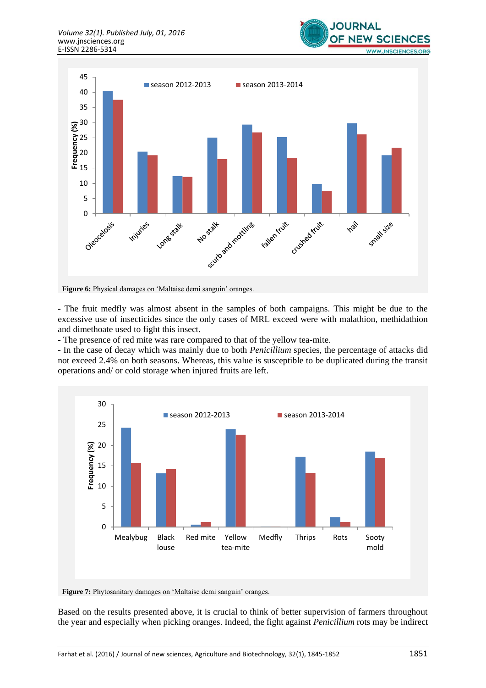



Figure 6: Physical damages on 'Maltaise demi sanguin' oranges.

- The fruit medfly was almost absent in the samples of both campaigns. This might be due to the excessive use of insecticides since the only cases of MRL exceed were with malathion, methidathion and dimethoate used to fight this insect.

- The presence of red mite was rare compared to that of the yellow tea-mite.

- In the case of decay which was mainly due to both *Penicillium* species, the percentage of attacks did not exceed 2.4% on both seasons. Whereas, this value is susceptible to be duplicated during the transit operations and/ or cold storage when injured fruits are left.



**Figure 7:** Phytosanitary damages on 'Maltaise demi sanguin' oranges.

Based on the results presented above, it is crucial to think of better supervision of farmers throughout the year and especially when picking oranges. Indeed, the fight against *Penicillium* rots may be indirect